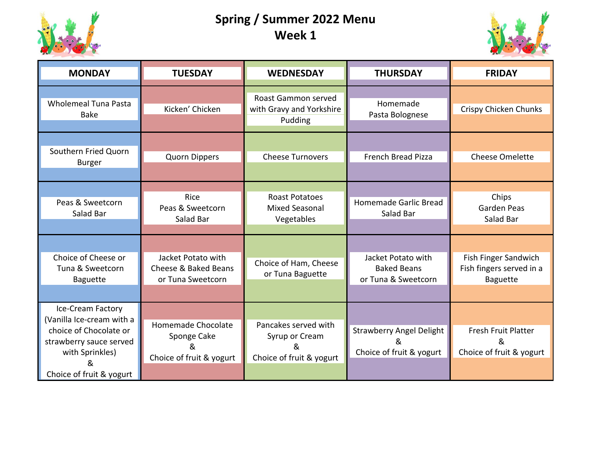

## **Spring / Summer 2022 Menu Week 1**



| <b>MONDAY</b>                                                                                                                                           | <b>TUESDAY</b>                                                     | <b>WEDNESDAY</b>                                                        | <b>THURSDAY</b>                                                  | <b>FRIDAY</b>                                                       |
|---------------------------------------------------------------------------------------------------------------------------------------------------------|--------------------------------------------------------------------|-------------------------------------------------------------------------|------------------------------------------------------------------|---------------------------------------------------------------------|
| <b>Wholemeal Tuna Pasta</b><br><b>Bake</b>                                                                                                              | Kicken' Chicken                                                    | Roast Gammon served<br>with Gravy and Yorkshire<br>Pudding              | Homemade<br>Pasta Bolognese                                      | Crispy Chicken Chunks                                               |
| Southern Fried Quorn<br><b>Burger</b>                                                                                                                   | Quorn Dippers                                                      | <b>Cheese Turnovers</b>                                                 | <b>French Bread Pizza</b>                                        | <b>Cheese Omelette</b>                                              |
| Peas & Sweetcorn<br>Salad Bar                                                                                                                           | Rice<br>Peas & Sweetcorn<br>Salad Bar                              | <b>Roast Potatoes</b><br><b>Mixed Seasonal</b><br>Vegetables            | Homemade Garlic Bread<br>Salad Bar                               | Chips<br>Garden Peas<br>Salad Bar                                   |
| Choice of Cheese or<br>Tuna & Sweetcorn<br><b>Baguette</b>                                                                                              | Jacket Potato with<br>Cheese & Baked Beans<br>or Tuna Sweetcorn    | Choice of Ham, Cheese<br>or Tuna Baguette                               | Jacket Potato with<br><b>Baked Beans</b><br>or Tuna & Sweetcorn  | Fish Finger Sandwich<br>Fish fingers served in a<br><b>Baguette</b> |
| Ice-Cream Factory<br>(Vanilla Ice-cream with a<br>choice of Chocolate or<br>strawberry sauce served<br>with Sprinkles)<br>&<br>Choice of fruit & yogurt | Homemade Chocolate<br>Sponge Cake<br>&<br>Choice of fruit & yogurt | Pancakes served with<br>Syrup or Cream<br>&<br>Choice of fruit & yogurt | <b>Strawberry Angel Delight</b><br>&<br>Choice of fruit & yogurt | Fresh Fruit Platter<br>&<br>Choice of fruit & yogurt                |